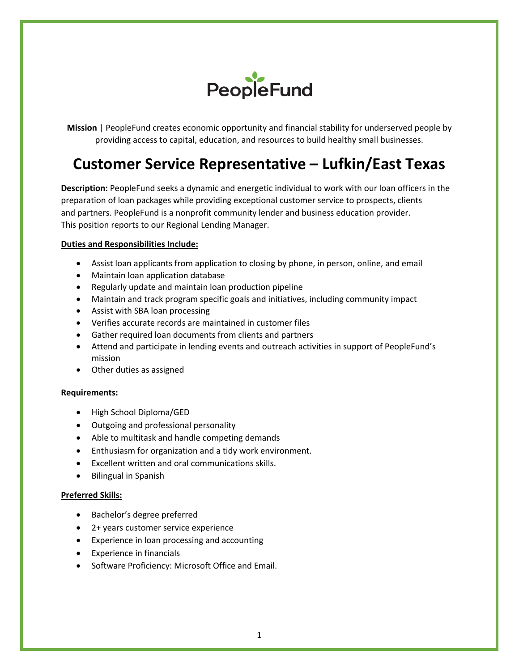

**Mission** | PeopleFund creates economic opportunity and financial stability for underserved people by providing access to capital, education, and resources to build healthy small businesses.

# **Customer Service Representative – Lufkin/East Texas**

**Description:** PeopleFund seeks a dynamic and energetic individual to work with our loan officers in the preparation of loan packages while providing exceptional customer service to prospects, clients and partners. PeopleFund is a nonprofit community lender and business education provider. This position reports to our Regional Lending Manager.

## **Duties and Responsibilities Include:**

- Assist loan applicants from application to closing by phone, in person, online, and email
- Maintain loan application database
- Regularly update and maintain loan production pipeline
- Maintain and track program specific goals and initiatives, including community impact
- Assist with SBA loan processing
- Verifies accurate records are maintained in customer files
- Gather required loan documents from clients and partners
- Attend and participate in lending events and outreach activities in support of PeopleFund's mission
- Other duties as assigned

## **Requirements:**

- High School Diploma/GED
- Outgoing and professional personality
- Able to multitask and handle competing demands
- Enthusiasm for organization and a tidy work environment.
- Excellent written and oral communications skills.
- Bilingual in Spanish

## **Preferred Skills:**

- Bachelor's degree preferred
- 2+ years customer service experience
- Experience in loan processing and accounting
- Experience in financials
- Software Proficiency: Microsoft Office and Email.